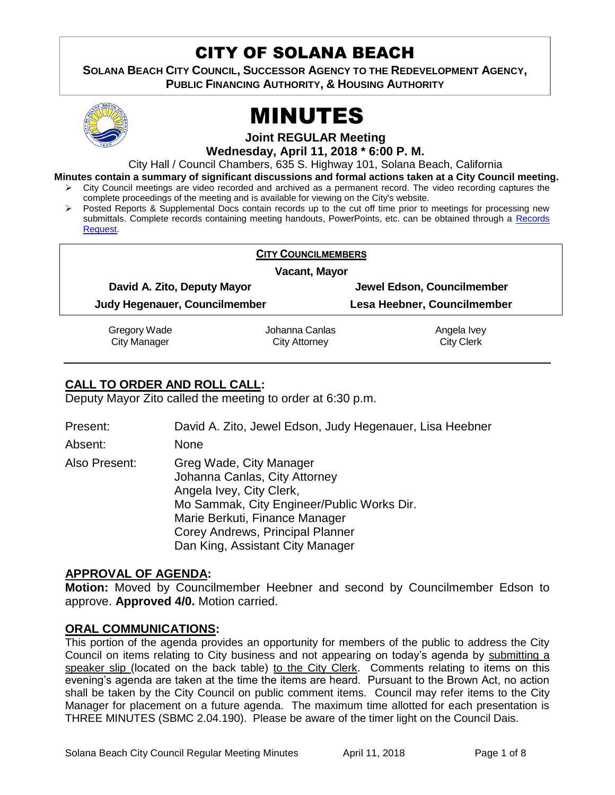# CITY OF SOLANA BEACH

**SOLANA BEACH CITY COUNCIL, SUCCESSOR AGENCY TO THE REDEVELOPMENT AGENCY, PUBLIC FINANCING AUTHORITY, & HOUSING AUTHORITY** 



# MINUTES

**Joint REGULAR Meeting**

**Wednesday, April 11, 2018 \* 6:00 P. M.**

City Hall / Council Chambers, 635 S. Highway 101, Solana Beach, California

**Minutes contain a summary of significant discussions and formal actions taken at a City Council meeting.**

- City Council meetings are video recorded and archived as a permanent record. The video recording captures the complete proceedings of the meeting and is available for viewing on the City's website.
- Posted Reports & Supplemental Docs contain records up to the cut off time prior to meetings for processing new submittals. Complete records containing meeting handouts, PowerPoints, etc. can be obtained through a [Records](http://www.ci.solana-beach.ca.us/index.asp?SEC=F5D45D10-70CE-4291-A27C-7BD633FC6742&Type=B_BASIC)  [Request.](http://www.ci.solana-beach.ca.us/index.asp?SEC=F5D45D10-70CE-4291-A27C-7BD633FC6742&Type=B_BASIC)

| Vacant, Mayor                 |                     |                             |                                                 |  |
|-------------------------------|---------------------|-----------------------------|-------------------------------------------------|--|
| David A. Zito, Deputy Mayor   |                     | Jewel Edson, Councilmember  |                                                 |  |
| Judy Hegenauer, Councilmember |                     | Lesa Heebner, Councilmember |                                                 |  |
| Gregory Wade                  | Johanna Canlas      | Angela Ivey                 |                                                 |  |
|                               | <b>City Manager</b> | City Attorney               | <b>CITY COUNCILMEMBERS</b><br><b>City Clerk</b> |  |

# **CALL TO ORDER AND ROLL CALL:**

Deputy Mayor Zito called the meeting to order at 6:30 p.m.

| Present:      | David A. Zito, Jewel Edson, Judy Hegenauer, Lisa Heebner                                                                                                                                                                                     |
|---------------|----------------------------------------------------------------------------------------------------------------------------------------------------------------------------------------------------------------------------------------------|
| Absent:       | <b>None</b>                                                                                                                                                                                                                                  |
| Also Present: | Greg Wade, City Manager<br>Johanna Canlas, City Attorney<br>Angela Ivey, City Clerk,<br>Mo Sammak, City Engineer/Public Works Dir.<br>Marie Berkuti, Finance Manager<br>Corey Andrews, Principal Planner<br>Dan King, Assistant City Manager |

## **APPROVAL OF AGENDA:**

**Motion:** Moved by Councilmember Heebner and second by Councilmember Edson to approve. **Approved 4/0.** Motion carried.

## **ORAL COMMUNICATIONS:**

This portion of the agenda provides an opportunity for members of the public to address the City Council on items relating to City business and not appearing on today's agenda by submitting a speaker slip (located on the back table) to the City Clerk. Comments relating to items on this evening's agenda are taken at the time the items are heard. Pursuant to the Brown Act, no action shall be taken by the City Council on public comment items. Council may refer items to the City Manager for placement on a future agenda. The maximum time allotted for each presentation is THREE MINUTES (SBMC 2.04.190). Please be aware of the timer light on the Council Dais.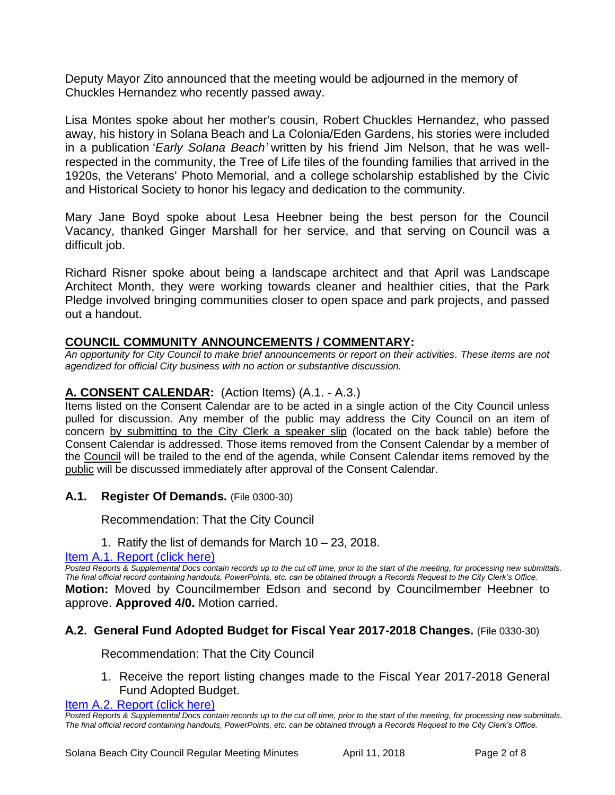Deputy Mayor Zito announced that the meeting would be adjourned in the memory of Chuckles Hernandez who recently passed away.

Lisa Montes spoke about her mother's cousin, Robert Chuckles Hernandez, who passed away, his history in Solana Beach and La Colonia/Eden Gardens, his stories were included in a publication '*Early Solana Beach'* written by his friend Jim Nelson, that he was wellrespected in the community, the Tree of Life tiles of the founding families that arrived in the 1920s, the Veterans' Photo Memorial, and a college scholarship established by the Civic and Historical Society to honor his legacy and dedication to the community.

Mary Jane Boyd spoke about Lesa Heebner being the best person for the Council Vacancy, thanked Ginger Marshall for her service, and that serving on Council was a difficult job.

Richard Risner spoke about being a landscape architect and that April was Landscape Architect Month, they were working towards cleaner and healthier cities, that the Park Pledge involved bringing communities closer to open space and park projects, and passed out a handout.

# **COUNCIL COMMUNITY ANNOUNCEMENTS / COMMENTARY:**

*An opportunity for City Council to make brief announcements or report on their activities. These items are not agendized for official City business with no action or substantive discussion.* 

# **A. CONSENT CALENDAR:** (Action Items) (A.1. - A.3.)

Items listed on the Consent Calendar are to be acted in a single action of the City Council unless pulled for discussion. Any member of the public may address the City Council on an item of concern by submitting to the City Clerk a speaker slip (located on the back table) before the Consent Calendar is addressed. Those items removed from the Consent Calendar by a member of the Council will be trailed to the end of the agenda, while Consent Calendar items removed by the public will be discussed immediately after approval of the Consent Calendar.

## **A.1. Register Of Demands.** (File 0300-30)

Recommendation: That the City Council

1. Ratify the list of demands for March 10 – 23, 2018.

#### [Item A.1. Report \(click here\)](https://solanabeach.govoffice3.com/vertical/Sites/%7B840804C2-F869-4904-9AE3-720581350CE7%7D/uploads/Item_A.1._Report_(click_here)-4-11-18.PDF)

*Posted Reports & Supplemental Docs contain records up to the cut off time, prior to the start of the meeting, for processing new submittals. The final official record containing handouts, PowerPoints, etc. can be obtained through a Records Request to the City Clerk's Office.* **Motion:** Moved by Councilmember Edson and second by Councilmember Heebner to approve. **Approved 4/0.** Motion carried.

## **A.2. General Fund Adopted Budget for Fiscal Year 2017-2018 Changes.** (File 0330-30)

Recommendation: That the City Council

1. Receive the report listing changes made to the Fiscal Year 2017-2018 General Fund Adopted Budget.

[Item A.2. Report \(click here\)](https://solanabeach.govoffice3.com/vertical/Sites/%7B840804C2-F869-4904-9AE3-720581350CE7%7D/uploads/Item_A.2._Report_(click_here)_-4-11-18.PDF)

*Posted Reports & Supplemental Docs contain records up to the cut off time, prior to the start of the meeting, for processing new submittals. The final official record containing handouts, PowerPoints, etc. can be obtained through a Records Request to the City Clerk's Office.*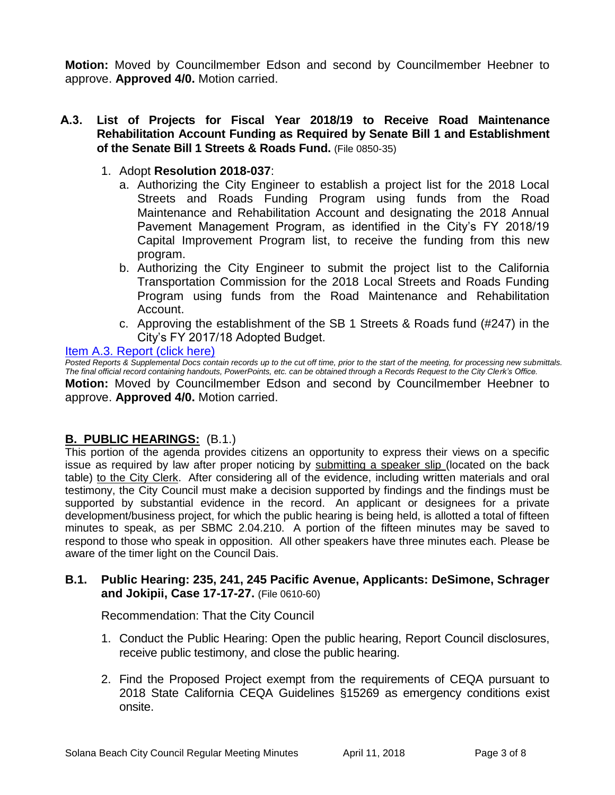**Motion:** Moved by Councilmember Edson and second by Councilmember Heebner to approve. **Approved 4/0.** Motion carried.

#### **A.3. List of Projects for Fiscal Year 2018/19 to Receive Road Maintenance Rehabilitation Account Funding as Required by Senate Bill 1 and Establishment of the Senate Bill 1 Streets & Roads Fund.** (File 0850-35)

- 1. Adopt **Resolution 2018-037**:
	- a. Authorizing the City Engineer to establish a project list for the 2018 Local Streets and Roads Funding Program using funds from the Road Maintenance and Rehabilitation Account and designating the 2018 Annual Pavement Management Program, as identified in the City's FY 2018/19 Capital Improvement Program list, to receive the funding from this new program.
	- b. Authorizing the City Engineer to submit the project list to the California Transportation Commission for the 2018 Local Streets and Roads Funding Program using funds from the Road Maintenance and Rehabilitation Account.
	- c. Approving the establishment of the SB 1 Streets & Roads fund (#247) in the City's FY 2017/18 Adopted Budget.

#### [Item A.3. Report \(click here\)](https://solanabeach.govoffice3.com/vertical/Sites/%7B840804C2-F869-4904-9AE3-720581350CE7%7D/uploads/Item_A.3._Report_(click_here)_-4-11-18.PDF)

*Posted Reports & Supplemental Docs contain records up to the cut off time, prior to the start of the meeting, for processing new submittals. The final official record containing handouts, PowerPoints, etc. can be obtained through a Records Request to the City Clerk's Office.* **Motion:** Moved by Councilmember Edson and second by Councilmember Heebner to approve. **Approved 4/0.** Motion carried.

## **B. PUBLIC HEARINGS:** (B.1.)

This portion of the agenda provides citizens an opportunity to express their views on a specific issue as required by law after proper noticing by submitting a speaker slip (located on the back table) to the City Clerk. After considering all of the evidence, including written materials and oral testimony, the City Council must make a decision supported by findings and the findings must be supported by substantial evidence in the record. An applicant or designees for a private development/business project, for which the public hearing is being held, is allotted a total of fifteen minutes to speak, as per SBMC 2.04.210. A portion of the fifteen minutes may be saved to respond to those who speak in opposition. All other speakers have three minutes each. Please be aware of the timer light on the Council Dais.

#### **B.1. Public Hearing: 235, 241, 245 Pacific Avenue, Applicants: DeSimone, Schrager and Jokipii, Case 17-17-27.** (File 0610-60)

Recommendation: That the City Council

- 1. Conduct the Public Hearing: Open the public hearing, Report Council disclosures, receive public testimony, and close the public hearing.
- 2. Find the Proposed Project exempt from the requirements of CEQA pursuant to 2018 State California CEQA Guidelines §15269 as emergency conditions exist onsite.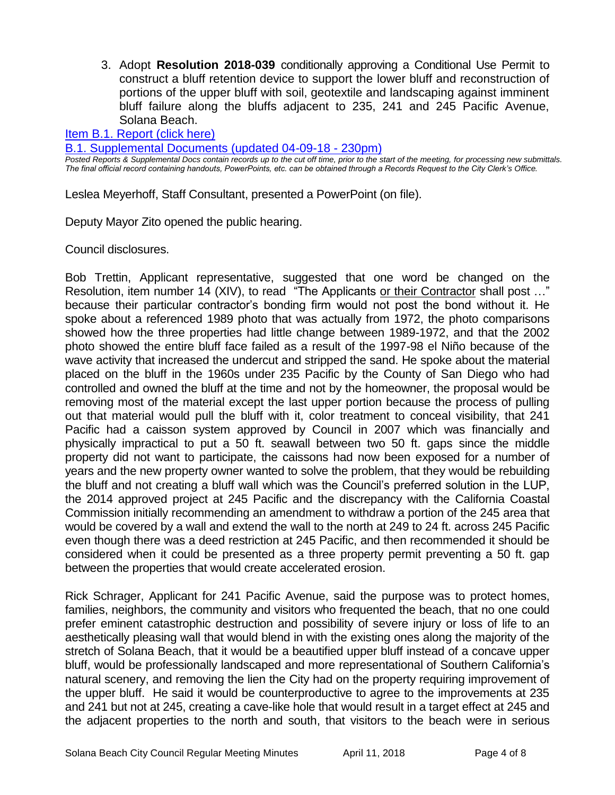3. Adopt **Resolution 2018-039** conditionally approving a Conditional Use Permit to construct a bluff retention device to support the lower bluff and reconstruction of portions of the upper bluff with soil, geotextile and landscaping against imminent bluff failure along the bluffs adjacent to 235, 241 and 245 Pacific Avenue, Solana Beach.

[Item B.1. Report \(click here\)](https://solanabeach.govoffice3.com/vertical/Sites/%7B840804C2-F869-4904-9AE3-720581350CE7%7D/uploads/Item_B.1._Report_(click_here)_-4-11-18.PDF) 

[B.1. Supplemental Documents \(updated 04-09-18 -](https://solanabeach.govoffice3.com/vertical/Sites/%7B840804C2-F869-4904-9AE3-720581350CE7%7D/uploads/B.1._Supplemental_Documents_(4-09_updated_230pm).pdf) 230pm)

*Posted Reports & Supplemental Docs contain records up to the cut off time, prior to the start of the meeting, for processing new submittals. The final official record containing handouts, PowerPoints, etc. can be obtained through a Records Request to the City Clerk's Office.*

Leslea Meyerhoff, Staff Consultant, presented a PowerPoint (on file).

Deputy Mayor Zito opened the public hearing.

Council disclosures.

Bob Trettin, Applicant representative, suggested that one word be changed on the Resolution, item number 14 (XIV), to read "The Applicants or their Contractor shall post ..." because their particular contractor's bonding firm would not post the bond without it. He spoke about a referenced 1989 photo that was actually from 1972, the photo comparisons showed how the three properties had little change between 1989-1972, and that the 2002 photo showed the entire bluff face failed as a result of the 1997-98 el Niño because of the wave activity that increased the undercut and stripped the sand. He spoke about the material placed on the bluff in the 1960s under 235 Pacific by the County of San Diego who had controlled and owned the bluff at the time and not by the homeowner, the proposal would be removing most of the material except the last upper portion because the process of pulling out that material would pull the bluff with it, color treatment to conceal visibility, that 241 Pacific had a caisson system approved by Council in 2007 which was financially and physically impractical to put a 50 ft. seawall between two 50 ft. gaps since the middle property did not want to participate, the caissons had now been exposed for a number of years and the new property owner wanted to solve the problem, that they would be rebuilding the bluff and not creating a bluff wall which was the Council's preferred solution in the LUP, the 2014 approved project at 245 Pacific and the discrepancy with the California Coastal Commission initially recommending an amendment to withdraw a portion of the 245 area that would be covered by a wall and extend the wall to the north at 249 to 24 ft. across 245 Pacific even though there was a deed restriction at 245 Pacific, and then recommended it should be considered when it could be presented as a three property permit preventing a 50 ft. gap between the properties that would create accelerated erosion.

Rick Schrager, Applicant for 241 Pacific Avenue, said the purpose was to protect homes, families, neighbors, the community and visitors who frequented the beach, that no one could prefer eminent catastrophic destruction and possibility of severe injury or loss of life to an aesthetically pleasing wall that would blend in with the existing ones along the majority of the stretch of Solana Beach, that it would be a beautified upper bluff instead of a concave upper bluff, would be professionally landscaped and more representational of Southern California's natural scenery, and removing the lien the City had on the property requiring improvement of the upper bluff. He said it would be counterproductive to agree to the improvements at 235 and 241 but not at 245, creating a cave-like hole that would result in a target effect at 245 and the adjacent properties to the north and south, that visitors to the beach were in serious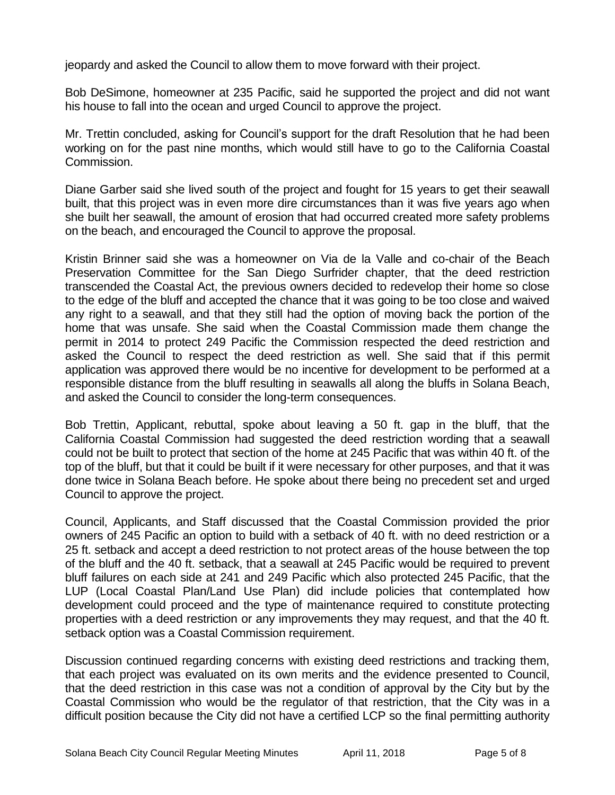jeopardy and asked the Council to allow them to move forward with their project.

Bob DeSimone, homeowner at 235 Pacific, said he supported the project and did not want his house to fall into the ocean and urged Council to approve the project.

Mr. Trettin concluded, asking for Council's support for the draft Resolution that he had been working on for the past nine months, which would still have to go to the California Coastal Commission.

Diane Garber said she lived south of the project and fought for 15 years to get their seawall built, that this project was in even more dire circumstances than it was five years ago when she built her seawall, the amount of erosion that had occurred created more safety problems on the beach, and encouraged the Council to approve the proposal.

Kristin Brinner said she was a homeowner on Via de la Valle and co-chair of the Beach Preservation Committee for the San Diego Surfrider chapter, that the deed restriction transcended the Coastal Act, the previous owners decided to redevelop their home so close to the edge of the bluff and accepted the chance that it was going to be too close and waived any right to a seawall, and that they still had the option of moving back the portion of the home that was unsafe. She said when the Coastal Commission made them change the permit in 2014 to protect 249 Pacific the Commission respected the deed restriction and asked the Council to respect the deed restriction as well. She said that if this permit application was approved there would be no incentive for development to be performed at a responsible distance from the bluff resulting in seawalls all along the bluffs in Solana Beach, and asked the Council to consider the long-term consequences.

Bob Trettin, Applicant, rebuttal, spoke about leaving a 50 ft. gap in the bluff, that the California Coastal Commission had suggested the deed restriction wording that a seawall could not be built to protect that section of the home at 245 Pacific that was within 40 ft. of the top of the bluff, but that it could be built if it were necessary for other purposes, and that it was done twice in Solana Beach before. He spoke about there being no precedent set and urged Council to approve the project.

Council, Applicants, and Staff discussed that the Coastal Commission provided the prior owners of 245 Pacific an option to build with a setback of 40 ft. with no deed restriction or a 25 ft. setback and accept a deed restriction to not protect areas of the house between the top of the bluff and the 40 ft. setback, that a seawall at 245 Pacific would be required to prevent bluff failures on each side at 241 and 249 Pacific which also protected 245 Pacific, that the LUP (Local Coastal Plan/Land Use Plan) did include policies that contemplated how development could proceed and the type of maintenance required to constitute protecting properties with a deed restriction or any improvements they may request, and that the 40 ft. setback option was a Coastal Commission requirement.

Discussion continued regarding concerns with existing deed restrictions and tracking them, that each project was evaluated on its own merits and the evidence presented to Council, that the deed restriction in this case was not a condition of approval by the City but by the Coastal Commission who would be the regulator of that restriction, that the City was in a difficult position because the City did not have a certified LCP so the final permitting authority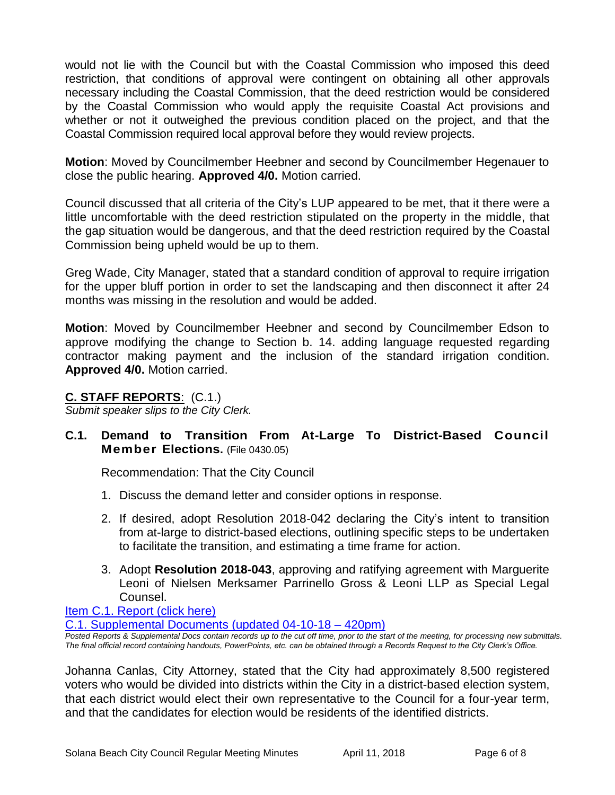would not lie with the Council but with the Coastal Commission who imposed this deed restriction, that conditions of approval were contingent on obtaining all other approvals necessary including the Coastal Commission, that the deed restriction would be considered by the Coastal Commission who would apply the requisite Coastal Act provisions and whether or not it outweighed the previous condition placed on the project, and that the Coastal Commission required local approval before they would review projects.

**Motion**: Moved by Councilmember Heebner and second by Councilmember Hegenauer to close the public hearing. **Approved 4/0.** Motion carried.

Council discussed that all criteria of the City's LUP appeared to be met, that it there were a little uncomfortable with the deed restriction stipulated on the property in the middle, that the gap situation would be dangerous, and that the deed restriction required by the Coastal Commission being upheld would be up to them.

Greg Wade, City Manager, stated that a standard condition of approval to require irrigation for the upper bluff portion in order to set the landscaping and then disconnect it after 24 months was missing in the resolution and would be added.

**Motion**: Moved by Councilmember Heebner and second by Councilmember Edson to approve modifying the change to Section b. 14. adding language requested regarding contractor making payment and the inclusion of the standard irrigation condition. **Approved 4/0.** Motion carried.

#### **C. STAFF REPORTS**: (C.1.)

*Submit speaker slips to the City Clerk.*

# **C.1. Demand to Transition From At-Large To District-Based Council Member Elections.** (File 0430.05)

Recommendation: That the City Council

- 1. Discuss the demand letter and consider options in response.
- 2. If desired, adopt Resolution 2018-042 declaring the City's intent to transition from at-large to district-based elections, outlining specific steps to be undertaken to facilitate the transition, and estimating a time frame for action.
- 3. Adopt **Resolution 2018-043**, approving and ratifying agreement with Marguerite Leoni of Nielsen Merksamer Parrinello Gross & Leoni LLP as Special Legal Counsel.

#### [Item C.1. Report \(click here\)](https://solanabeach.govoffice3.com/vertical/Sites/%7B840804C2-F869-4904-9AE3-720581350CE7%7D/uploads/Item_C.1._Report_(click_here)_-04-11-18.PDF)

[C.1. Supplemental Documents \(updated 04-10-18 –](https://solanabeach.govoffice3.com/vertical/Sites/%7B840804C2-F869-4904-9AE3-720581350CE7%7D/uploads/C.1._Supplemental_Docs_(4-10_updated_420pm).PDF) 420pm)

*Posted Reports & Supplemental Docs contain records up to the cut off time, prior to the start of the meeting, for processing new submittals. The final official record containing handouts, PowerPoints, etc. can be obtained through a Records Request to the City Clerk's Office.*

Johanna Canlas, City Attorney, stated that the City had approximately 8,500 registered voters who would be divided into districts within the City in a district-based election system, that each district would elect their own representative to the Council for a four-year term, and that the candidates for election would be residents of the identified districts.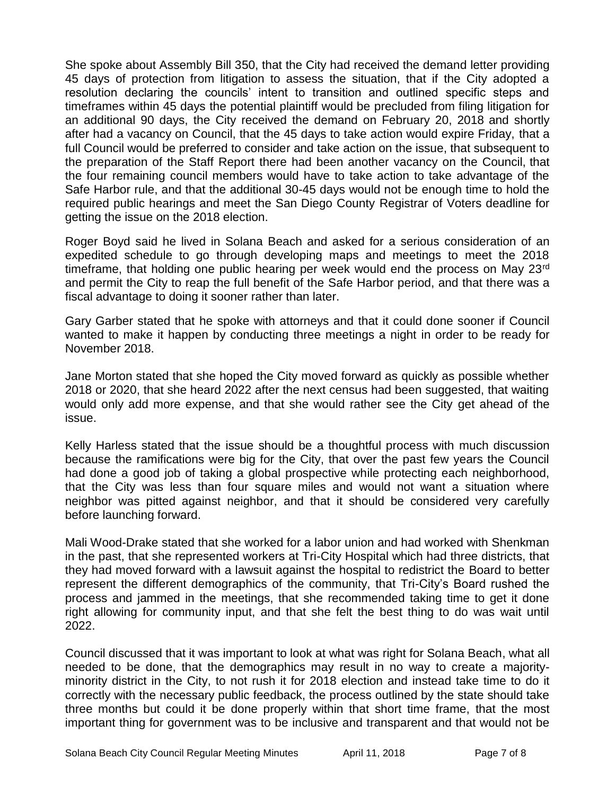She spoke about Assembly Bill 350, that the City had received the demand letter providing 45 days of protection from litigation to assess the situation, that if the City adopted a resolution declaring the councils' intent to transition and outlined specific steps and timeframes within 45 days the potential plaintiff would be precluded from filing litigation for an additional 90 days, the City received the demand on February 20, 2018 and shortly after had a vacancy on Council, that the 45 days to take action would expire Friday, that a full Council would be preferred to consider and take action on the issue, that subsequent to the preparation of the Staff Report there had been another vacancy on the Council, that the four remaining council members would have to take action to take advantage of the Safe Harbor rule, and that the additional 30-45 days would not be enough time to hold the required public hearings and meet the San Diego County Registrar of Voters deadline for getting the issue on the 2018 election.

Roger Boyd said he lived in Solana Beach and asked for a serious consideration of an expedited schedule to go through developing maps and meetings to meet the 2018 timeframe, that holding one public hearing per week would end the process on May 23<sup>rd</sup> and permit the City to reap the full benefit of the Safe Harbor period, and that there was a fiscal advantage to doing it sooner rather than later.

Gary Garber stated that he spoke with attorneys and that it could done sooner if Council wanted to make it happen by conducting three meetings a night in order to be ready for November 2018.

Jane Morton stated that she hoped the City moved forward as quickly as possible whether 2018 or 2020, that she heard 2022 after the next census had been suggested, that waiting would only add more expense, and that she would rather see the City get ahead of the issue.

Kelly Harless stated that the issue should be a thoughtful process with much discussion because the ramifications were big for the City, that over the past few years the Council had done a good job of taking a global prospective while protecting each neighborhood, that the City was less than four square miles and would not want a situation where neighbor was pitted against neighbor, and that it should be considered very carefully before launching forward.

Mali Wood-Drake stated that she worked for a labor union and had worked with Shenkman in the past, that she represented workers at Tri-City Hospital which had three districts, that they had moved forward with a lawsuit against the hospital to redistrict the Board to better represent the different demographics of the community, that Tri-City's Board rushed the process and jammed in the meetings, that she recommended taking time to get it done right allowing for community input, and that she felt the best thing to do was wait until 2022.

Council discussed that it was important to look at what was right for Solana Beach, what all needed to be done, that the demographics may result in no way to create a majorityminority district in the City, to not rush it for 2018 election and instead take time to do it correctly with the necessary public feedback, the process outlined by the state should take three months but could it be done properly within that short time frame, that the most important thing for government was to be inclusive and transparent and that would not be